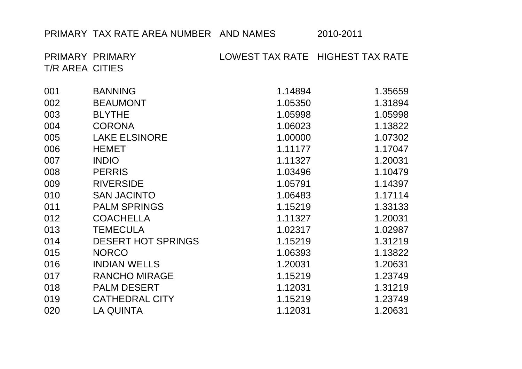## PRIMARY TAX RATE AREA NUMBER AND NAMES 2010-2011

PRIMARY PRIMARY LOWEST TAX RATE HIGHEST TAX RATE T/R AREA CITIES

| 001 | <b>BANNING</b>            | 1.14894 | 1.35659 |
|-----|---------------------------|---------|---------|
| 002 | <b>BEAUMONT</b>           | 1.05350 | 1.31894 |
| 003 | <b>BLYTHE</b>             | 1.05998 | 1.05998 |
| 004 | <b>CORONA</b>             | 1.06023 | 1.13822 |
| 005 | <b>LAKE ELSINORE</b>      | 1.00000 | 1.07302 |
| 006 | <b>HEMET</b>              | 1.11177 | 1.17047 |
| 007 | <b>INDIO</b>              | 1.11327 | 1.20031 |
| 008 | <b>PERRIS</b>             | 1.03496 | 1.10479 |
| 009 | <b>RIVERSIDE</b>          | 1.05791 | 1.14397 |
| 010 | <b>SAN JACINTO</b>        | 1.06483 | 1.17114 |
| 011 | <b>PALM SPRINGS</b>       | 1.15219 | 1.33133 |
| 012 | <b>COACHELLA</b>          | 1.11327 | 1.20031 |
| 013 | <b>TEMECULA</b>           | 1.02317 | 1.02987 |
| 014 | <b>DESERT HOT SPRINGS</b> | 1.15219 | 1.31219 |
| 015 | <b>NORCO</b>              | 1.06393 | 1.13822 |
| 016 | <b>INDIAN WELLS</b>       | 1.20031 | 1.20631 |
| 017 | <b>RANCHO MIRAGE</b>      | 1.15219 | 1.23749 |
| 018 | <b>PALM DESERT</b>        | 1.12031 | 1.31219 |
| 019 | <b>CATHEDRAL CITY</b>     | 1.15219 | 1.23749 |
| 020 | <b>LA QUINTA</b>          | 1.12031 | 1.20631 |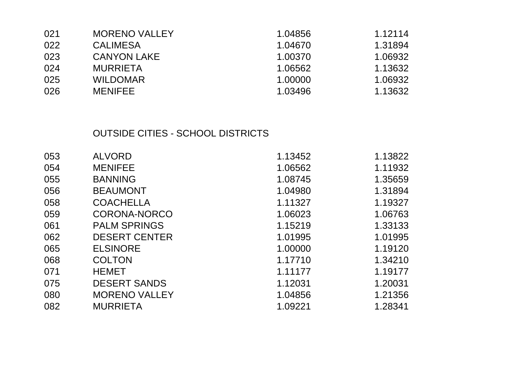| 021 | <b>MORENO VALLEY</b> | 1.04856 | 1.12114 |
|-----|----------------------|---------|---------|
| 022 | <b>CALIMESA</b>      | 1.04670 | 1.31894 |
| 023 | <b>CANYON LAKE</b>   | 1.00370 | 1.06932 |
| 024 | <b>MURRIETA</b>      | 1.06562 | 1.13632 |
| 025 | <b>WILDOMAR</b>      | 1.00000 | 1.06932 |
| 026 | <b>MENIFEE</b>       | 1.03496 | 1.13632 |

## OUTSIDE CITIES - SCHOOL DISTRICTS

| 053 | <b>ALVORD</b>        | 1.13452 | 1.13822 |
|-----|----------------------|---------|---------|
|     |                      |         |         |
| 054 | <b>MENIFEE</b>       | 1.06562 | 1.11932 |
| 055 | <b>BANNING</b>       | 1.08745 | 1.35659 |
| 056 | <b>BEAUMONT</b>      | 1.04980 | 1.31894 |
| 058 | <b>COACHELLA</b>     | 1.11327 | 1.19327 |
| 059 | <b>CORONA-NORCO</b>  | 1.06023 | 1.06763 |
| 061 | <b>PALM SPRINGS</b>  | 1.15219 | 1.33133 |
| 062 | <b>DESERT CENTER</b> | 1.01995 | 1.01995 |
| 065 | <b>ELSINORE</b>      | 1.00000 | 1.19120 |
| 068 | <b>COLTON</b>        | 1.17710 | 1.34210 |
| 071 | <b>HEMET</b>         | 1.11177 | 1.19177 |
| 075 | <b>DESERT SANDS</b>  | 1.12031 | 1.20031 |
| 080 | <b>MORENO VALLEY</b> | 1.04856 | 1.21356 |
| 082 | <b>MURRIETA</b>      | 1.09221 | 1.28341 |